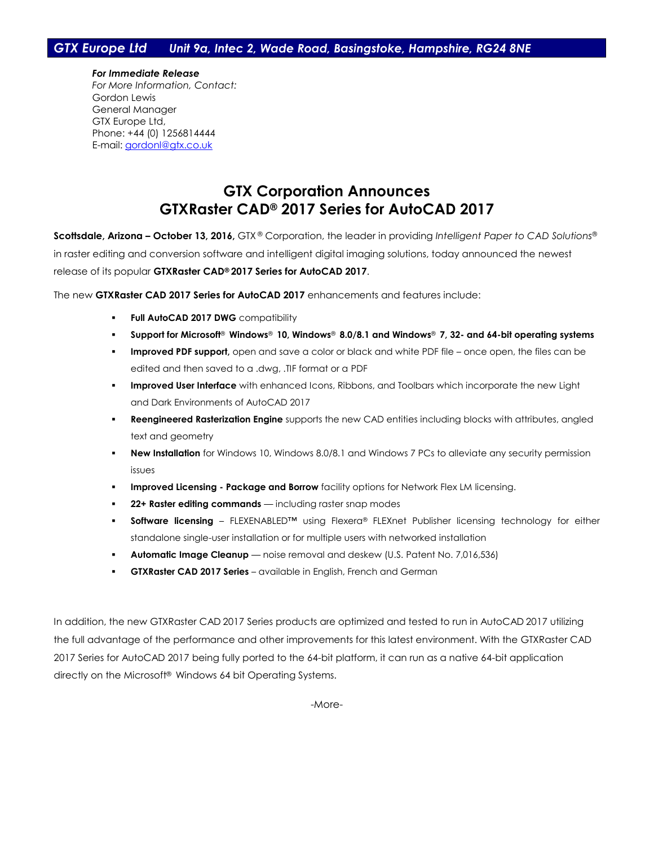*For Immediate Release For More Information, Contact:* Gordon Lewis General Manager GTX Europe Ltd, Phone: +44 (0) 1256814444 E-mail: [gordonl@gtx.co.uk](mailto:gordonl@gtx.co.uk)

## **GTX Corporation Announces GTXRaster CAD® 2017 Series for AutoCAD 2017**

**Scottsdale, Arizona – October 13, 2016,** GTX ® Corporation, the leader in providing *Intelligent Paper to CAD Solutions*® in raster editing and conversion software and intelligent digital imaging solutions, today announced the newest release of its popular **GTXRaster CAD® 2017 Series for AutoCAD 2017**.

The new **GTXRaster CAD 2017 Series for AutoCAD 2017** enhancements and features include:

- **Full AutoCAD 2017 DWG** compatibility
- **Support for Microsoft**® **Windows**® **10, Windows**® **8.0/8.1 and Windows**® **7, 32- and 64-bit operating systems**
- **Improved PDF support,** open and save a color or black and white PDF file once open, the files can be edited and then saved to a .dwg, .TIF format or a PDF
- **Improved User Interface** with enhanced Icons, Ribbons, and Toolbars which incorporate the new Light and Dark Environments of AutoCAD 2017
- **Reengineered Rasterization Engine** supports the new CAD entities including blocks with attributes, angled text and geometry
- **New Installation** for Windows 10, Windows 8.0/8.1 and Windows 7 PCs to alleviate any security permission issues
- **Improved Licensing - Package and Borrow** facility options for Network Flex LM licensing.
- **22+ Raster editing commands** including raster snap modes
- **Software licensing** FLEXENABLED™ using Flexera® FLEXnet Publisher licensing technology for either standalone single-user installation or for multiple users with networked installation
- **Automatic Image Cleanup** noise removal and deskew (U.S. Patent No. 7,016,536)
- **GTXRaster CAD 2017 Series**  available in English, French and German

In addition, the new GTXRaster CAD 2017 Series products are optimized and tested to run in AutoCAD 2017 utilizing the full advantage of the performance and other improvements for this latest environment. With the GTXRaster CAD 2017 Series for AutoCAD 2017 being fully ported to the 64-bit platform, it can run as a native 64-bit application directly on the Microsoft® Windows 64 bit Operating Systems.

-More-